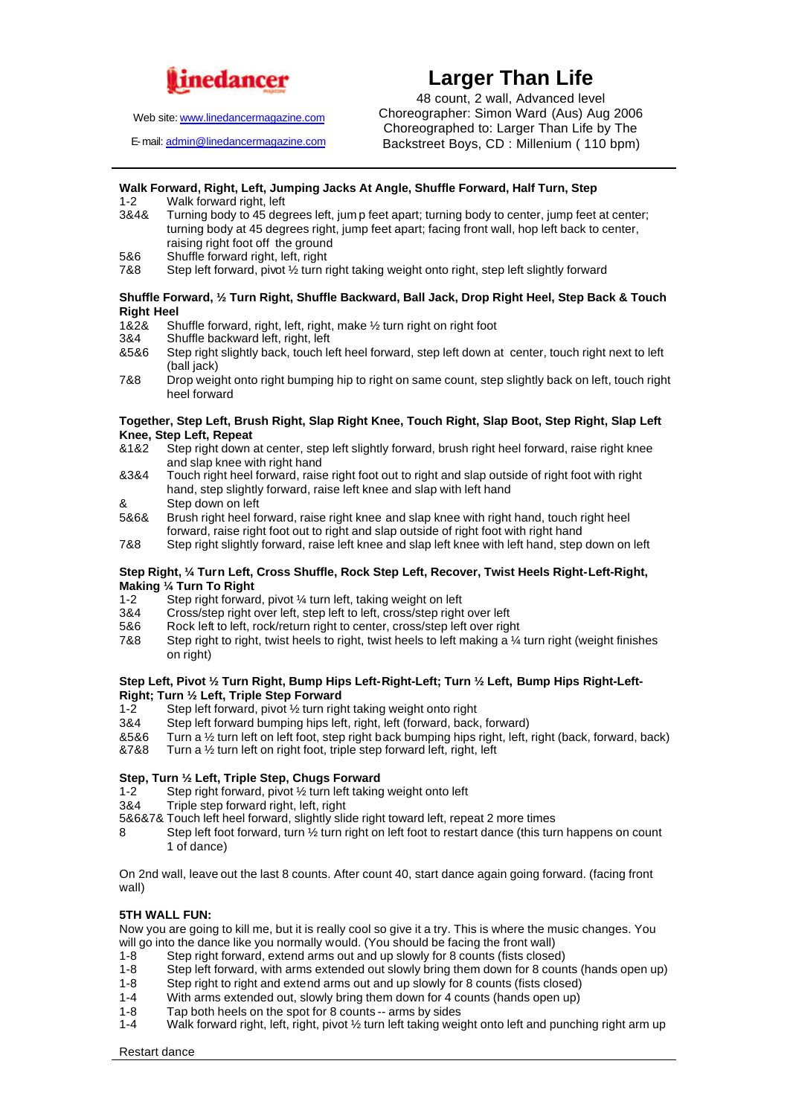

Web site: www.linedancermagazine.com

E-mail: admin@linedancermagazine.com

# **Larger Than Life**

48 count, 2 wall, Advanced level Choreographer: Simon Ward (Aus) Aug 2006 Choreographed to: Larger Than Life by The Backstreet Boys, CD : Millenium ( 110 bpm)

## **Walk Forward, Right, Left, Jumping Jacks At Angle, Shuffle Forward, Half Turn, Step**

- Walk forward right, left
- 3&4& Turning body to 45 degrees left, jum p feet apart; turning body to center, jump feet at center; turning body at 45 degrees right, jump feet apart; facing front wall, hop left back to center, raising right foot off the ground
- 5&6 Shuffle forward right, left, right<br>7&8 Step left forward, pivot 1/2 turn ri

Step left forward, pivot  $\frac{1}{2}$  turn right taking weight onto right, step left slightly forward

### **Shuffle Forward, ½ Turn Right, Shuffle Backward, Ball Jack, Drop Right Heel, Step Back & Touch Right Heel**

- 1&2& Shuffle forward, right, left, right, make 1/2 turn right on right foot 3&4 Shuffle backward left, right, left
- Shuffle backward left, right, left
- &5&6 Step right slightly back, touch left heel forward, step left down at center, touch right next to left (ball jack)
- 7&8 Drop weight onto right bumping hip to right on same count, step slightly back on left, touch right heel forward

### **Together, Step Left, Brush Right, Slap Right Knee, Touch Right, Slap Boot, Step Right, Slap Left Knee, Step Left, Repeat**

- &1&2 Step right down at center, step left slightly forward, brush right heel forward, raise right knee and slap knee with right hand
- &3&4 Touch right heel forward, raise right foot out to right and slap outside of right foot with right hand, step slightly forward, raise left knee and slap with left hand
- & Step down on left
- 5&6& Brush right heel forward, raise right knee and slap knee with right hand, touch right heel forward, raise right foot out to right and slap outside of right foot with right hand
- 7&8 Step right slightly forward, raise left knee and slap left knee with left hand, step down on left

### **Step Right, ¼ Turn Left, Cross Shuffle, Rock Step Left, Recover, Twist Heels Right-Left-Right, Making 1/4 Turn To Right**<br>1-2 Step right forward

- Step right forward, pivot ¼ turn left, taking weight on left
- 3&4 Cross/step right over left, step left to left, cross/step right over left
- 5&6 Rock left to left, rock/return right to center, cross/step left over right
- 7&8 Step right to right, twist heels to right, twist heels to left making a ¼ turn right (weight finishes on right)

### **Step Left, Pivot ½ Turn Right, Bump Hips Left-Right-Left; Turn ½ Left, Bump Hips Right-Left-Right; Turn ½ Left, Triple Step Forward**

- 1-2 Step left forward, pivot 1/2 turn right taking weight onto right<br>384 Step left forward bumping bips left right left (forward back
- Step left forward bumping hips left, right, left (forward, back, forward)
- &5&6 Turn a ½ turn left on left foot, step right back bumping hips right, left, right (back, forward, back)
- &7&8 Turn a ½ turn left on right foot, triple step forward left, right, left

### **Step, Turn ½ Left, Triple Step, Chugs Forward**

- 1-2 Step right forward, pivot ½ turn left taking weight onto left
- 3&4 Triple step forward right, left, right
- 5&6&7& Touch left heel forward, slightly slide right toward left, repeat 2 more times
- 8 Step left foot forward, turn ½ turn right on left foot to restart dance (this turn happens on count 1 of dance)

On 2nd wall, leave out the last 8 counts. After count 40, start dance again going forward. (facing front wall)

### **5TH WALL FUN:**

Now you are going to kill me, but it is really cool so give it a try. This is where the music changes. You will go into the dance like you normally would. (You should be facing the front wall)<br>1-8 Step right forward, extend arms out and up slowly for 8 counts (fists closed

- Step right forward, extend arms out and up slowly for 8 counts (fists closed)
- 1-8 Step left forward, with arms extended out slowly bring them down for 8 counts (hands open up)
- 1-8 Step right to right and extend arms out and up slowly for 8 counts (fists closed)
- 1-4 With arms extended out, slowly bring them down for 4 counts (hands open up)
- 1-8 Tap both heels on the spot for 8 counts -- arms by sides  $1-4$  Walk forward right. left, right, bive  $\frac{1}{2}$  turn left taking weight.
- Walk forward right, left, right, pivot 1/2 turn left taking weight onto left and punching right arm up